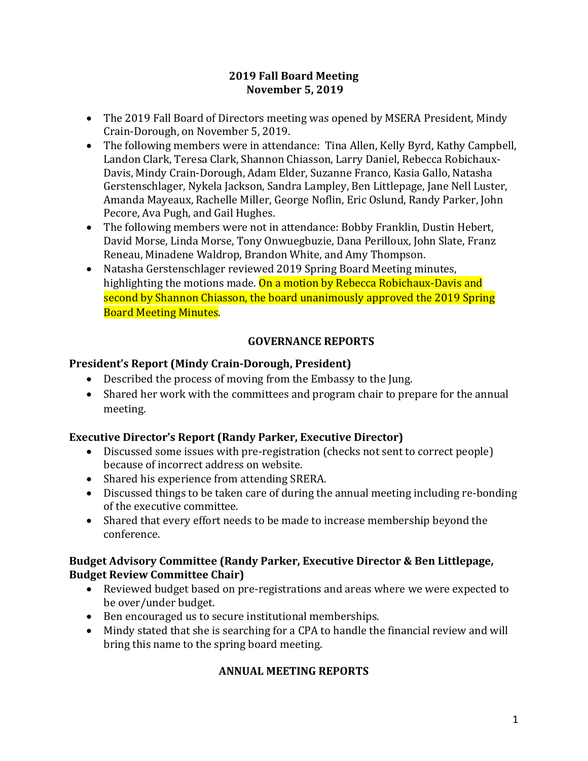#### **2019 Fall Board Meeting November 5, 2019**

- The 2019 Fall Board of Directors meeting was opened by MSERA President, Mindy Crain-Dorough, on November 5, 2019.
- The following members were in attendance: Tina Allen, Kelly Byrd, Kathy Campbell, Landon Clark, Teresa Clark, Shannon Chiasson, Larry Daniel, Rebecca Robichaux-Davis, Mindy Crain-Dorough, Adam Elder, Suzanne Franco, Kasia Gallo, Natasha Gerstenschlager, Nykela Jackson, Sandra Lampley, Ben Littlepage, Jane Nell Luster, Amanda Mayeaux, Rachelle Miller, George Noflin, Eric Oslund, Randy Parker, John Pecore, Ava Pugh, and Gail Hughes.
- The following members were not in attendance: Bobby Franklin, Dustin Hebert, David Morse, Linda Morse, Tony Onwuegbuzie, Dana Perilloux, John Slate, Franz Reneau, Minadene Waldrop, Brandon White, and Amy Thompson.
- Natasha Gerstenschlager reviewed 2019 Spring Board Meeting minutes, highlighting the motions made. On a motion by Rebecca Robichaux-Davis and second by Shannon Chiasson, the board unanimously approved the 2019 Spring Board Meeting Minutes.

# **GOVERNANCE REPORTS**

# **President's Report (Mindy Crain-Dorough, President)**

- Described the process of moving from the Embassy to the Jung.
- Shared her work with the committees and program chair to prepare for the annual meeting.

# **Executive Director's Report (Randy Parker, Executive Director)**

- Discussed some issues with pre-registration (checks not sent to correct people) because of incorrect address on website.
- Shared his experience from attending SRERA.
- Discussed things to be taken care of during the annual meeting including re-bonding of the executive committee.
- Shared that every effort needs to be made to increase membership beyond the conference.

# **Budget Advisory Committee (Randy Parker, Executive Director & Ben Littlepage, Budget Review Committee Chair)**

- Reviewed budget based on pre-registrations and areas where we were expected to be over/under budget.
- Ben encouraged us to secure institutional memberships.
- Mindy stated that she is searching for a CPA to handle the financial review and will bring this name to the spring board meeting.

# **ANNUAL MEETING REPORTS**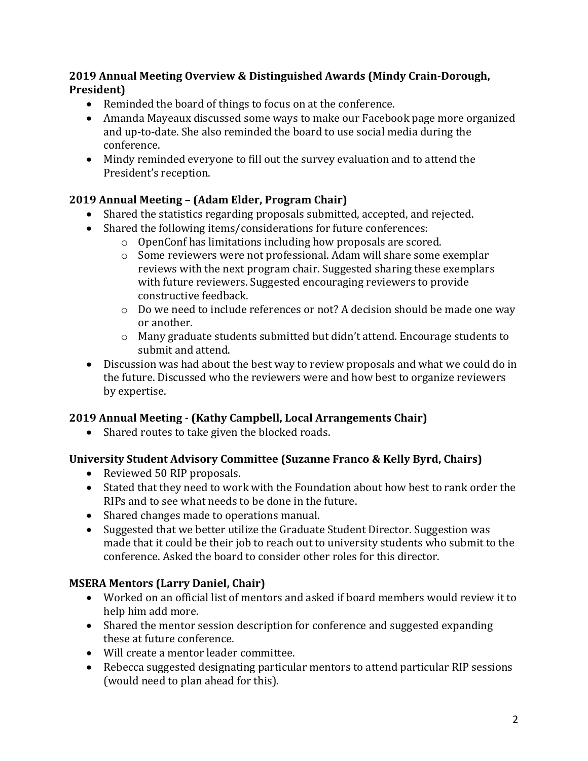# **2019 Annual Meeting Overview & Distinguished Awards (Mindy Crain-Dorough, President)**

- Reminded the board of things to focus on at the conference.
- Amanda Mayeaux discussed some ways to make our Facebook page more organized and up-to-date. She also reminded the board to use social media during the conference.
- Mindy reminded everyone to fill out the survey evaluation and to attend the President's reception.

# **2019 Annual Meeting – (Adam Elder, Program Chair)**

- Shared the statistics regarding proposals submitted, accepted, and rejected.
- Shared the following items/considerations for future conferences:
	- o OpenConf has limitations including how proposals are scored.
	- o Some reviewers were not professional. Adam will share some exemplar reviews with the next program chair. Suggested sharing these exemplars with future reviewers. Suggested encouraging reviewers to provide constructive feedback.
	- o Do we need to include references or not? A decision should be made one way or another.
	- $\circ$  Many graduate students submitted but didn't attend. Encourage students to submit and attend.
- Discussion was had about the best way to review proposals and what we could do in the future. Discussed who the reviewers were and how best to organize reviewers by expertise.

# **2019 Annual Meeting - (Kathy Campbell, Local Arrangements Chair)**

• Shared routes to take given the blocked roads.

# **University Student Advisory Committee (Suzanne Franco & Kelly Byrd, Chairs)**

- Reviewed 50 RIP proposals.
- Stated that they need to work with the Foundation about how best to rank order the RIPs and to see what needs to be done in the future.
- Shared changes made to operations manual.
- Suggested that we better utilize the Graduate Student Director. Suggestion was made that it could be their job to reach out to university students who submit to the conference. Asked the board to consider other roles for this director.

# **MSERA Mentors (Larry Daniel, Chair)**

- Worked on an official list of mentors and asked if board members would review it to help him add more.
- Shared the mentor session description for conference and suggested expanding these at future conference.
- Will create a mentor leader committee.
- Rebecca suggested designating particular mentors to attend particular RIP sessions (would need to plan ahead for this).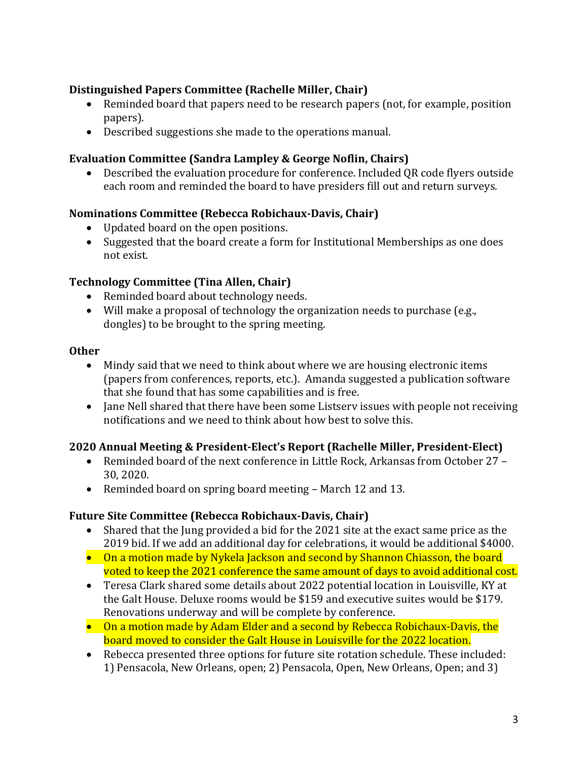# **Distinguished Papers Committee (Rachelle Miller, Chair)**

- Reminded board that papers need to be research papers (not, for example, position papers).
- Described suggestions she made to the operations manual.

# **Evaluation Committee (Sandra Lampley & George Noflin, Chairs)**

• Described the evaluation procedure for conference. Included QR code flyers outside each room and reminded the board to have presiders fill out and return surveys.

# **Nominations Committee (Rebecca Robichaux-Davis, Chair)**

- Updated board on the open positions.
- Suggested that the board create a form for Institutional Memberships as one does not exist.

# **Technology Committee (Tina Allen, Chair)**

- Reminded board about technology needs.
- Will make a proposal of technology the organization needs to purchase (e.g., dongles) to be brought to the spring meeting.

#### **Other**

- Mindy said that we need to think about where we are housing electronic items (papers from conferences, reports, etc.). Amanda suggested a publication software that she found that has some capabilities and is free.
- Jane Nell shared that there have been some Listserv issues with people not receiving notifications and we need to think about how best to solve this.

# **2020 Annual Meeting & President-Elect's Report (Rachelle Miller, President-Elect)**

- Reminded board of the next conference in Little Rock, Arkansas from October 27 30, 2020.
- Reminded board on spring board meeting March 12 and 13.

# **Future Site Committee (Rebecca Robichaux-Davis, Chair)**

- Shared that the Jung provided a bid for the 2021 site at the exact same price as the 2019 bid. If we add an additional day for celebrations, it would be additional \$4000.
- On a motion made by Nykela Jackson and second by Shannon Chiasson, the board voted to keep the 2021 conference the same amount of days to avoid additional cost.
- Teresa Clark shared some details about 2022 potential location in Louisville, KY at the Galt House. Deluxe rooms would be \$159 and executive suites would be \$179. Renovations underway and will be complete by conference.
- On a motion made by Adam Elder and a second by Rebecca Robichaux-Davis, the board moved to consider the Galt House in Louisville for the 2022 location.
- Rebecca presented three options for future site rotation schedule. These included: 1) Pensacola, New Orleans, open; 2) Pensacola, Open, New Orleans, Open; and 3)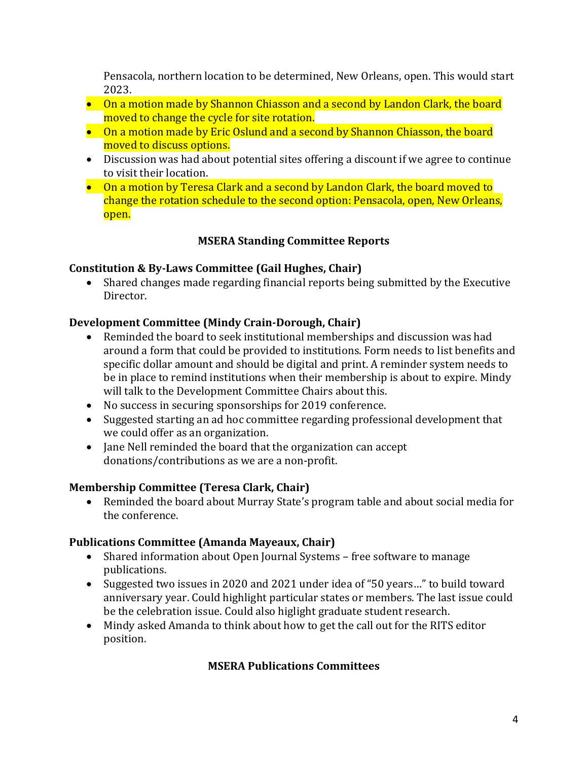Pensacola, northern location to be determined, New Orleans, open. This would start 2023.

- On a motion made by Shannon Chiasson and a second by Landon Clark, the board moved to change the cycle for site rotation.
- On a motion made by Eric Oslund and a second by Shannon Chiasson, the board moved to discuss options.
- Discussion was had about potential sites offering a discount if we agree to continue to visit their location.
- On a motion by Teresa Clark and a second by Landon Clark, the board moved to change the rotation schedule to the second option: Pensacola, open, New Orleans, open.

# **MSERA Standing Committee Reports**

# **Constitution & By-Laws Committee (Gail Hughes, Chair)**

• Shared changes made regarding financial reports being submitted by the Executive Director.

# **Development Committee (Mindy Crain-Dorough, Chair)**

- Reminded the board to seek institutional memberships and discussion was had around a form that could be provided to institutions. Form needs to list benefits and specific dollar amount and should be digital and print. A reminder system needs to be in place to remind institutions when their membership is about to expire. Mindy will talk to the Development Committee Chairs about this.
- No success in securing sponsorships for 2019 conference.
- Suggested starting an ad hoc committee regarding professional development that we could offer as an organization.
- Jane Nell reminded the board that the organization can accept donations/contributions as we are a non-profit.

# **Membership Committee (Teresa Clark, Chair)**

• Reminded the board about Murray State's program table and about social media for the conference.

# **Publications Committee (Amanda Mayeaux, Chair)**

- Shared information about Open Journal Systems free software to manage publications.
- Suggested two issues in 2020 and 2021 under idea of "50 years..." to build toward anniversary year. Could highlight particular states or members. The last issue could be the celebration issue. Could also higlight graduate student research.
- Mindy asked Amanda to think about how to get the call out for the RITS editor position.

# **MSERA Publications Committees**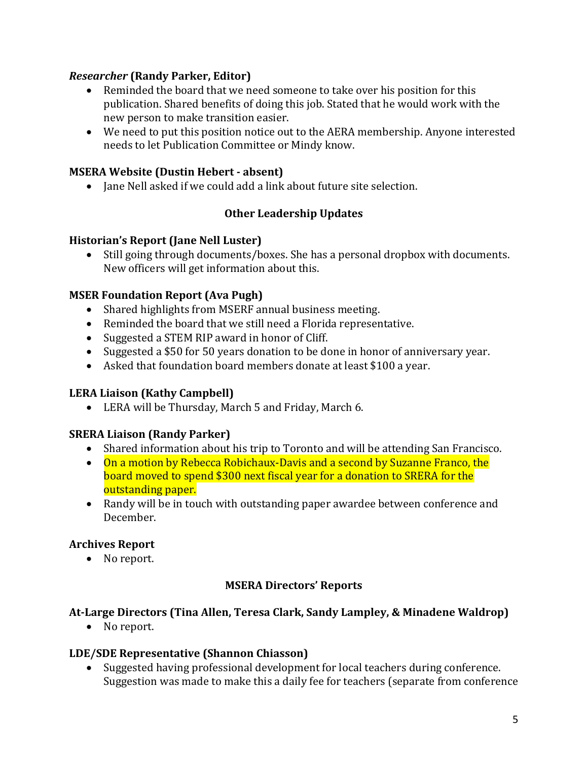# *Researcher* **(Randy Parker, Editor)**

- Reminded the board that we need someone to take over his position for this publication. Shared benefits of doing this job. Stated that he would work with the new person to make transition easier.
- We need to put this position notice out to the AERA membership. Anyone interested needs to let Publication Committee or Mindy know.

#### **MSERA Website (Dustin Hebert - absent)**

• Jane Nell asked if we could add a link about future site selection.

# **Other Leadership Updates**

#### **Historian's Report (Jane Nell Luster)**

• Still going through documents/boxes. She has a personal dropbox with documents. New officers will get information about this.

#### **MSER Foundation Report (Ava Pugh)**

- Shared highlights from MSERF annual business meeting.
- Reminded the board that we still need a Florida representative.
- Suggested a STEM RIP award in honor of Cliff.
- Suggested a \$50 for 50 years donation to be done in honor of anniversary year.
- Asked that foundation board members donate at least \$100 a year.

# **LERA Liaison (Kathy Campbell)**

• LERA will be Thursday, March 5 and Friday, March 6.

# **SRERA Liaison (Randy Parker)**

- Shared information about his trip to Toronto and will be attending San Francisco.
- On a motion by Rebecca Robichaux-Davis and a second by Suzanne Franco, the board moved to spend \$300 next fiscal year for a donation to SRERA for the outstanding paper.
- Randy will be in touch with outstanding paper awardee between conference and December.

# **Archives Report**

• No report.

# **MSERA Directors' Reports**

#### **At-Large Directors (Tina Allen, Teresa Clark, Sandy Lampley, & Minadene Waldrop)**

• No report.

#### **LDE/SDE Representative (Shannon Chiasson)**

• Suggested having professional development for local teachers during conference. Suggestion was made to make this a daily fee for teachers (separate from conference